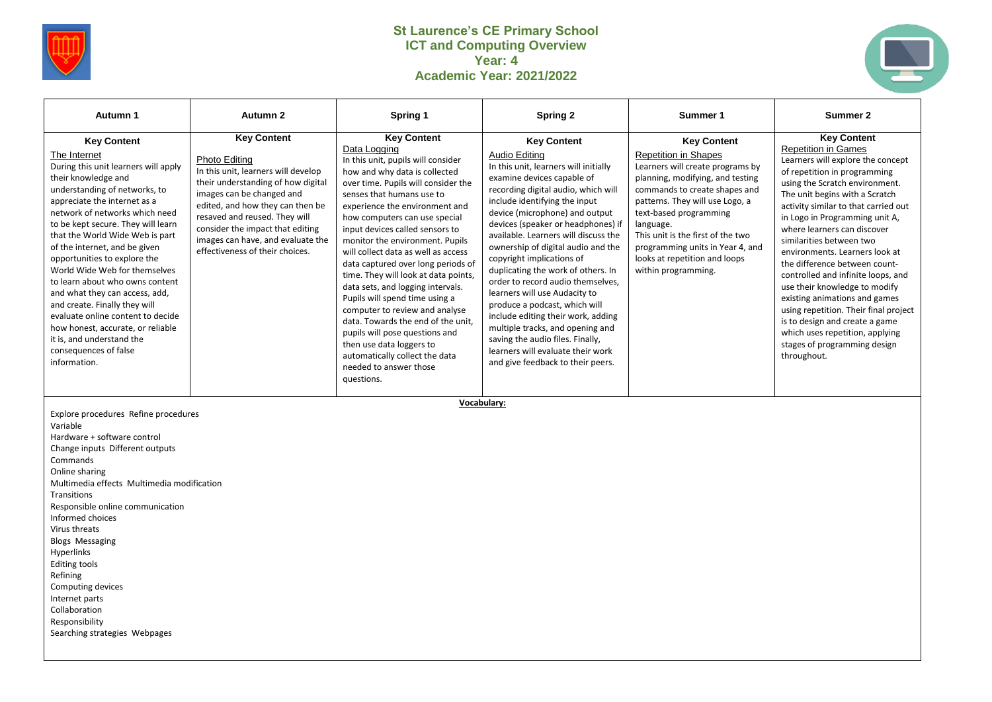

## **St Laurence's CE Primary School ICT and Computing Overview Year: 4 Academic Year: 2021/2022**



| Autumn 1                                                                                                                                                                                                                                                                                                                                                                                                                                                                                                                                                                                                                              | Autumn 2                                                                                                                                                                                                                                                                                                                       | Spring 1                                                                                                                                                                                                                                                                                                                                                                                                                                                                                                                                                                                                                                                                                                                           | Spring 2                                                                                                                                                                                                                                                                                                                                                                                                                                                                                                                                                                                                                                                                                                   | Summer 1                                                                                                                                                                                                                                                                                                                                                              | Summer 2                                                                                                                                                                                                                                                                                                                                                                                                                                                                                                                                                                                                                                                               |
|---------------------------------------------------------------------------------------------------------------------------------------------------------------------------------------------------------------------------------------------------------------------------------------------------------------------------------------------------------------------------------------------------------------------------------------------------------------------------------------------------------------------------------------------------------------------------------------------------------------------------------------|--------------------------------------------------------------------------------------------------------------------------------------------------------------------------------------------------------------------------------------------------------------------------------------------------------------------------------|------------------------------------------------------------------------------------------------------------------------------------------------------------------------------------------------------------------------------------------------------------------------------------------------------------------------------------------------------------------------------------------------------------------------------------------------------------------------------------------------------------------------------------------------------------------------------------------------------------------------------------------------------------------------------------------------------------------------------------|------------------------------------------------------------------------------------------------------------------------------------------------------------------------------------------------------------------------------------------------------------------------------------------------------------------------------------------------------------------------------------------------------------------------------------------------------------------------------------------------------------------------------------------------------------------------------------------------------------------------------------------------------------------------------------------------------------|-----------------------------------------------------------------------------------------------------------------------------------------------------------------------------------------------------------------------------------------------------------------------------------------------------------------------------------------------------------------------|------------------------------------------------------------------------------------------------------------------------------------------------------------------------------------------------------------------------------------------------------------------------------------------------------------------------------------------------------------------------------------------------------------------------------------------------------------------------------------------------------------------------------------------------------------------------------------------------------------------------------------------------------------------------|
| <b>Key Content</b><br>The Internet<br>During this unit learners will apply<br>their knowledge and<br>understanding of networks, to<br>appreciate the internet as a<br>network of networks which need<br>to be kept secure. They will learn<br>that the World Wide Web is part<br>of the internet, and be given<br>opportunities to explore the<br>World Wide Web for themselves<br>to learn about who owns content<br>and what they can access, add,<br>and create. Finally they will<br>evaluate online content to decide<br>how honest, accurate, or reliable<br>it is, and understand the<br>consequences of false<br>information. | <b>Key Content</b><br>Photo Editing<br>In this unit, learners will develop<br>their understanding of how digital<br>images can be changed and<br>edited, and how they can then be<br>resaved and reused. They will<br>consider the impact that editing<br>images can have, and evaluate the<br>effectiveness of their choices. | <b>Key Content</b><br>Data Logging<br>In this unit, pupils will consider<br>how and why data is collected<br>over time. Pupils will consider the<br>senses that humans use to<br>experience the environment and<br>how computers can use special<br>input devices called sensors to<br>monitor the environment. Pupils<br>will collect data as well as access<br>data captured over long periods of<br>time. They will look at data points,<br>data sets, and logging intervals.<br>Pupils will spend time using a<br>computer to review and analyse<br>data. Towards the end of the unit.<br>pupils will pose questions and<br>then use data loggers to<br>automatically collect the data<br>needed to answer those<br>questions. | <b>Key Content</b><br>Audio Editing<br>In this unit, learners will initially<br>examine devices capable of<br>recording digital audio, which will<br>include identifying the input<br>device (microphone) and output<br>devices (speaker or headphones) if<br>available. Learners will discuss the<br>ownership of digital audio and the<br>copyright implications of<br>duplicating the work of others. In<br>order to record audio themselves,<br>learners will use Audacity to<br>produce a podcast, which will<br>include editing their work, adding<br>multiple tracks, and opening and<br>saving the audio files. Finally,<br>learners will evaluate their work<br>and give feedback to their peers. | <b>Key Content</b><br><b>Repetition in Shapes</b><br>Learners will create programs by<br>planning, modifying, and testing<br>commands to create shapes and<br>patterns. They will use Logo, a<br>text-based programming<br>language.<br>This unit is the first of the two<br>programming units in Year 4, and<br>looks at repetition and loops<br>within programming. | <b>Key Content</b><br><b>Repetition in Games</b><br>Learners will explore the concept<br>of repetition in programming<br>using the Scratch environment.<br>The unit begins with a Scratch<br>activity similar to that carried out<br>in Logo in Programming unit A,<br>where learners can discover<br>similarities between two<br>environments. Learners look at<br>the difference between count-<br>controlled and infinite loops, and<br>use their knowledge to modify<br>existing animations and games<br>using repetition. Their final project<br>is to design and create a game<br>which uses repetition, applying<br>stages of programming design<br>throughout. |

Explore procedures Refine procedures Variable Hardware + software control Change inputs Different outputs Commands Online sharing Multimedia effects Multimedia modification Transitions Responsible online communication Informed choices Virus threats Blogs Messaging Hyperlinks Editing tools Refining Computing devices Internet parts Collaboration Responsibility Searching strategies Webpages

**Vocabulary:**